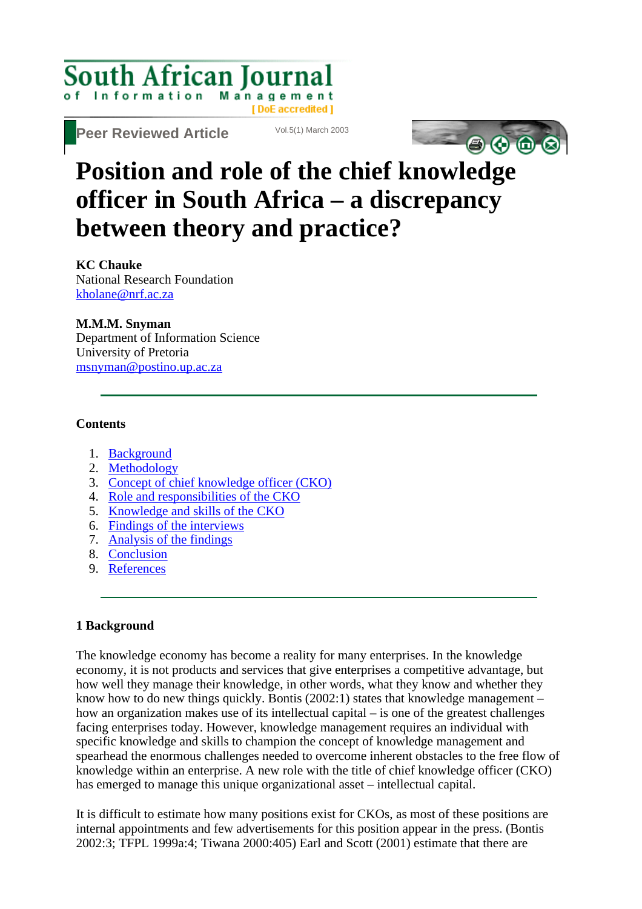## South African Journal of Information Management [DoE accredited]

Peer Reviewed Article Vol.5(1) March 2003



# **Position and role of the chief knowledge officer in South Africa – a discrepancy between theory and practice?**

**KC Chauke**  National Research Foundation kholane@nrf.ac.za

## **M.M.M. Snyman**

Department of Information Science University of Pretoria msnyman@postino.up.ac.za

## **Contents**

- 1. Background
- 2. Methodology
- 3. Concept of chief knowledge officer (CKO)
- 4. Role and responsibilities of the CKO
- 5. Knowledge and skills of the CKO
- 6. Findings of the interviews
- 7. Analysis of the findings
- 8. Conclusion
- 9. References

## **1 Background**

The knowledge economy has become a reality for many enterprises. In the knowledge economy, it is not products and services that give enterprises a competitive advantage, but how well they manage their knowledge, in other words, what they know and whether they know how to do new things quickly. Bontis (2002:1) states that knowledge management – how an organization makes use of its intellectual capital – is one of the greatest challenges facing enterprises today. However, knowledge management requires an individual with specific knowledge and skills to champion the concept of knowledge management and spearhead the enormous challenges needed to overcome inherent obstacles to the free flow of knowledge within an enterprise. A new role with the title of chief knowledge officer (CKO) has emerged to manage this unique organizational asset – intellectual capital.

It is difficult to estimate how many positions exist for CKOs, as most of these positions are internal appointments and few advertisements for this position appear in the press. (Bontis 2002:3; TFPL 1999a:4; Tiwana 2000:405) Earl and Scott (2001) estimate that there are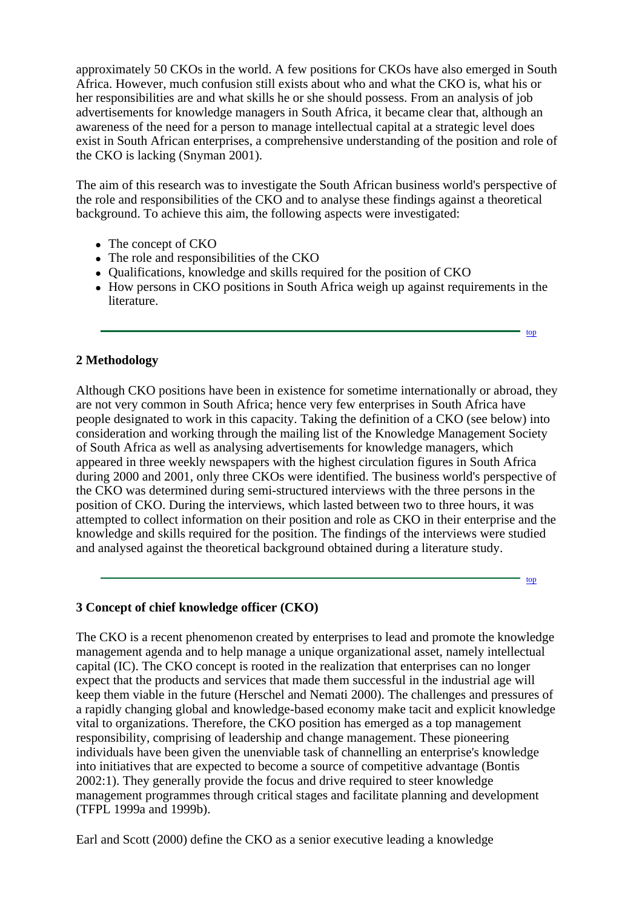approximately 50 CKOs in the world. A few positions for CKOs have also emerged in South Africa. However, much confusion still exists about who and what the CKO is, what his or her responsibilities are and what skills he or she should possess. From an analysis of job advertisements for knowledge managers in South Africa, it became clear that, although an awareness of the need for a person to manage intellectual capital at a strategic level does exist in South African enterprises, a comprehensive understanding of the position and role of the CKO is lacking (Snyman 2001).

The aim of this research was to investigate the South African business world's perspective of the role and responsibilities of the CKO and to analyse these findings against a theoretical background. To achieve this aim, the following aspects were investigated:

- The concept of CKO
- The role and responsibilities of the CKO
- Qualifications, knowledge and skills required for the position of CKO
- How persons in CKO positions in South Africa weigh up against requirements in the literature.

top

top

## **2 Methodology**

Although CKO positions have been in existence for sometime internationally or abroad, they are not very common in South Africa; hence very few enterprises in South Africa have people designated to work in this capacity. Taking the definition of a CKO (see below) into consideration and working through the mailing list of the Knowledge Management Society of South Africa as well as analysing advertisements for knowledge managers, which appeared in three weekly newspapers with the highest circulation figures in South Africa during 2000 and 2001, only three CKOs were identified. The business world's perspective of the CKO was determined during semi-structured interviews with the three persons in the position of CKO. During the interviews, which lasted between two to three hours, it was attempted to collect information on their position and role as CKO in their enterprise and the knowledge and skills required for the position. The findings of the interviews were studied and analysed against the theoretical background obtained during a literature study.

## **3 Concept of chief knowledge officer (CKO)**

The CKO is a recent phenomenon created by enterprises to lead and promote the knowledge management agenda and to help manage a unique organizational asset, namely intellectual capital (IC). The CKO concept is rooted in the realization that enterprises can no longer expect that the products and services that made them successful in the industrial age will keep them viable in the future (Herschel and Nemati 2000). The challenges and pressures of a rapidly changing global and knowledge-based economy make tacit and explicit knowledge vital to organizations. Therefore, the CKO position has emerged as a top management responsibility, comprising of leadership and change management. These pioneering individuals have been given the unenviable task of channelling an enterprise's knowledge into initiatives that are expected to become a source of competitive advantage (Bontis 2002:1). They generally provide the focus and drive required to steer knowledge management programmes through critical stages and facilitate planning and development (TFPL 1999a and 1999b).

Earl and Scott (2000) define the CKO as a senior executive leading a knowledge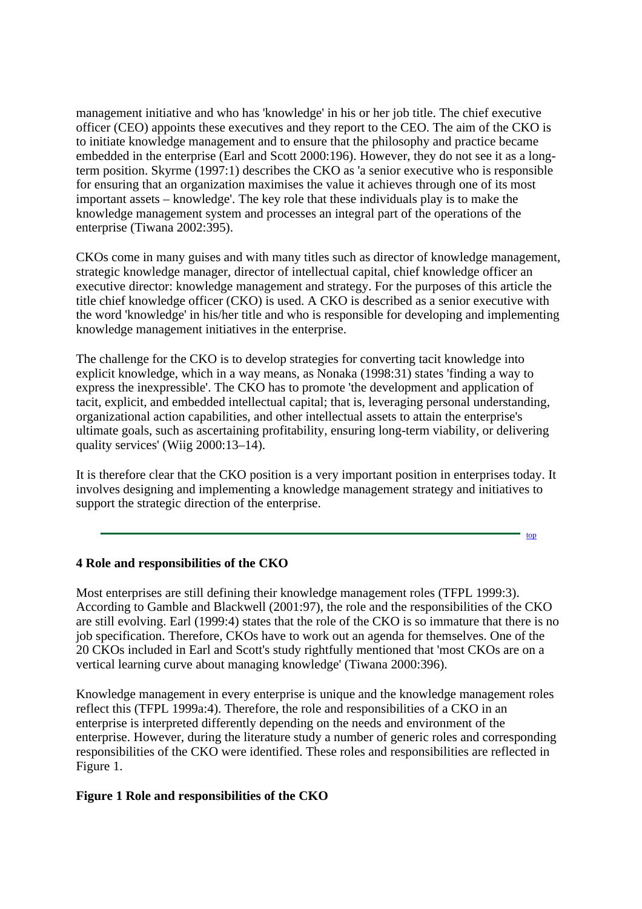management initiative and who has 'knowledge' in his or her job title. The chief executive officer (CEO) appoints these executives and they report to the CEO. The aim of the CKO is to initiate knowledge management and to ensure that the philosophy and practice became embedded in the enterprise (Earl and Scott 2000:196). However, they do not see it as a longterm position. Skyrme (1997:1) describes the CKO as 'a senior executive who is responsible for ensuring that an organization maximises the value it achieves through one of its most important assets – knowledge'. The key role that these individuals play is to make the knowledge management system and processes an integral part of the operations of the enterprise (Tiwana 2002:395).

CKOs come in many guises and with many titles such as director of knowledge management, strategic knowledge manager, director of intellectual capital, chief knowledge officer an executive director: knowledge management and strategy. For the purposes of this article the title chief knowledge officer (CKO) is used. A CKO is described as a senior executive with the word 'knowledge' in his/her title and who is responsible for developing and implementing knowledge management initiatives in the enterprise.

The challenge for the CKO is to develop strategies for converting tacit knowledge into explicit knowledge, which in a way means, as Nonaka (1998:31) states 'finding a way to express the inexpressible'. The CKO has to promote 'the development and application of tacit, explicit, and embedded intellectual capital; that is, leveraging personal understanding, organizational action capabilities, and other intellectual assets to attain the enterprise's ultimate goals, such as ascertaining profitability, ensuring long-term viability, or delivering quality services' (Wiig 2000:13–14).

It is therefore clear that the CKO position is a very important position in enterprises today. It involves designing and implementing a knowledge management strategy and initiatives to support the strategic direction of the enterprise.

top

#### **4 Role and responsibilities of the CKO**

Most enterprises are still defining their knowledge management roles (TFPL 1999:3). According to Gamble and Blackwell (2001:97), the role and the responsibilities of the CKO are still evolving. Earl (1999:4) states that the role of the CKO is so immature that there is no job specification. Therefore, CKOs have to work out an agenda for themselves. One of the 20 CKOs included in Earl and Scott's study rightfully mentioned that 'most CKOs are on a vertical learning curve about managing knowledge' (Tiwana 2000:396).

Knowledge management in every enterprise is unique and the knowledge management roles reflect this (TFPL 1999a:4). Therefore, the role and responsibilities of a CKO in an enterprise is interpreted differently depending on the needs and environment of the enterprise. However, during the literature study a number of generic roles and corresponding responsibilities of the CKO were identified. These roles and responsibilities are reflected in Figure 1.

#### **Figure 1 Role and responsibilities of the CKO**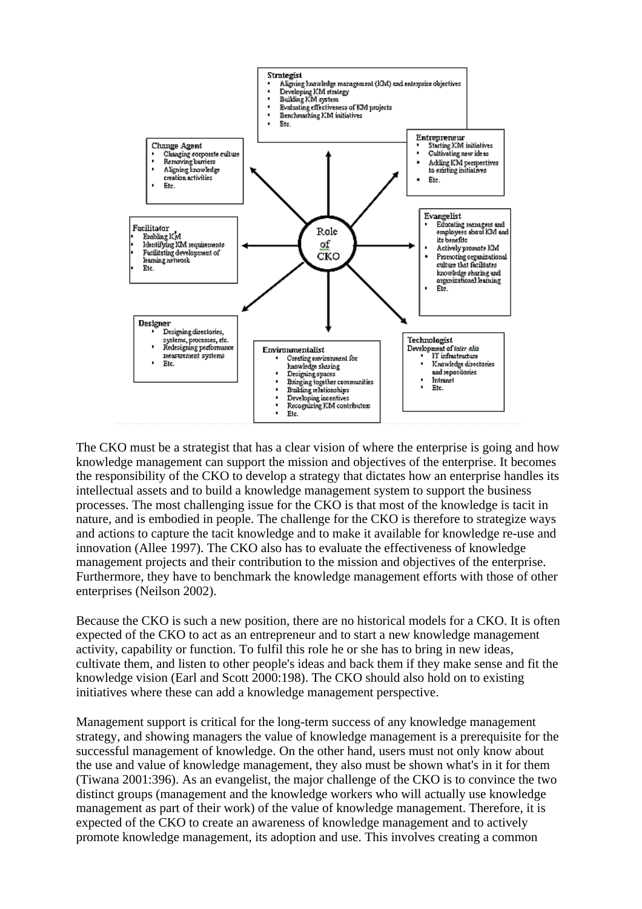

The CKO must be a strategist that has a clear vision of where the enterprise is going and how knowledge management can support the mission and objectives of the enterprise. It becomes the responsibility of the CKO to develop a strategy that dictates how an enterprise handles its intellectual assets and to build a knowledge management system to support the business processes. The most challenging issue for the CKO is that most of the knowledge is tacit in nature, and is embodied in people. The challenge for the CKO is therefore to strategize ways and actions to capture the tacit knowledge and to make it available for knowledge re-use and innovation (Allee 1997). The CKO also has to evaluate the effectiveness of knowledge management projects and their contribution to the mission and objectives of the enterprise. Furthermore, they have to benchmark the knowledge management efforts with those of other enterprises (Neilson 2002).

Because the CKO is such a new position, there are no historical models for a CKO. It is often expected of the CKO to act as an entrepreneur and to start a new knowledge management activity, capability or function. To fulfil this role he or she has to bring in new ideas, cultivate them, and listen to other people's ideas and back them if they make sense and fit the knowledge vision (Earl and Scott 2000:198). The CKO should also hold on to existing initiatives where these can add a knowledge management perspective.

Management support is critical for the long-term success of any knowledge management strategy, and showing managers the value of knowledge management is a prerequisite for the successful management of knowledge. On the other hand, users must not only know about the use and value of knowledge management, they also must be shown what's in it for them (Tiwana 2001:396). As an evangelist, the major challenge of the CKO is to convince the two distinct groups (management and the knowledge workers who will actually use knowledge management as part of their work) of the value of knowledge management. Therefore, it is expected of the CKO to create an awareness of knowledge management and to actively promote knowledge management, its adoption and use. This involves creating a common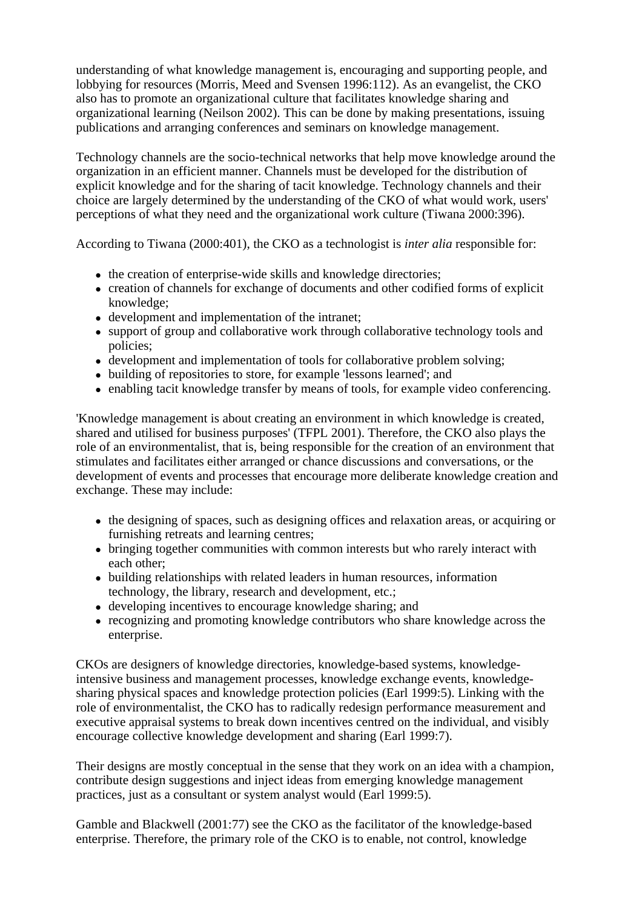understanding of what knowledge management is, encouraging and supporting people, and lobbying for resources (Morris, Meed and Svensen 1996:112). As an evangelist, the CKO also has to promote an organizational culture that facilitates knowledge sharing and organizational learning (Neilson 2002). This can be done by making presentations, issuing publications and arranging conferences and seminars on knowledge management.

Technology channels are the socio-technical networks that help move knowledge around the organization in an efficient manner. Channels must be developed for the distribution of explicit knowledge and for the sharing of tacit knowledge. Technology channels and their choice are largely determined by the understanding of the CKO of what would work, users' perceptions of what they need and the organizational work culture (Tiwana 2000:396).

According to Tiwana (2000:401), the CKO as a technologist is *inter alia* responsible for:

- $\bullet$  the creation of enterprise-wide skills and knowledge directories;
- $\bullet$  creation of channels for exchange of documents and other codified forms of explicit knowledge;
- development and implementation of the intranet;
- support of group and collaborative work through collaborative technology tools and policies;
- development and implementation of tools for collaborative problem solving;
- building of repositories to store, for example 'lessons learned'; and
- enabling tacit knowledge transfer by means of tools, for example video conferencing.

'Knowledge management is about creating an environment in which knowledge is created, shared and utilised for business purposes' (TFPL 2001). Therefore, the CKO also plays the role of an environmentalist, that is, being responsible for the creation of an environment that stimulates and facilitates either arranged or chance discussions and conversations, or the development of events and processes that encourage more deliberate knowledge creation and exchange. These may include:

- the designing of spaces, such as designing offices and relaxation areas, or acquiring or furnishing retreats and learning centres;
- bringing together communities with common interests but who rarely interact with each other;
- building relationships with related leaders in human resources, information technology, the library, research and development, etc.;
- developing incentives to encourage knowledge sharing; and
- recognizing and promoting knowledge contributors who share knowledge across the enterprise.

CKOs are designers of knowledge directories, knowledge-based systems, knowledgeintensive business and management processes, knowledge exchange events, knowledgesharing physical spaces and knowledge protection policies (Earl 1999:5). Linking with the role of environmentalist, the CKO has to radically redesign performance measurement and executive appraisal systems to break down incentives centred on the individual, and visibly encourage collective knowledge development and sharing (Earl 1999:7).

Their designs are mostly conceptual in the sense that they work on an idea with a champion, contribute design suggestions and inject ideas from emerging knowledge management practices, just as a consultant or system analyst would (Earl 1999:5).

Gamble and Blackwell (2001:77) see the CKO as the facilitator of the knowledge-based enterprise. Therefore, the primary role of the CKO is to enable, not control, knowledge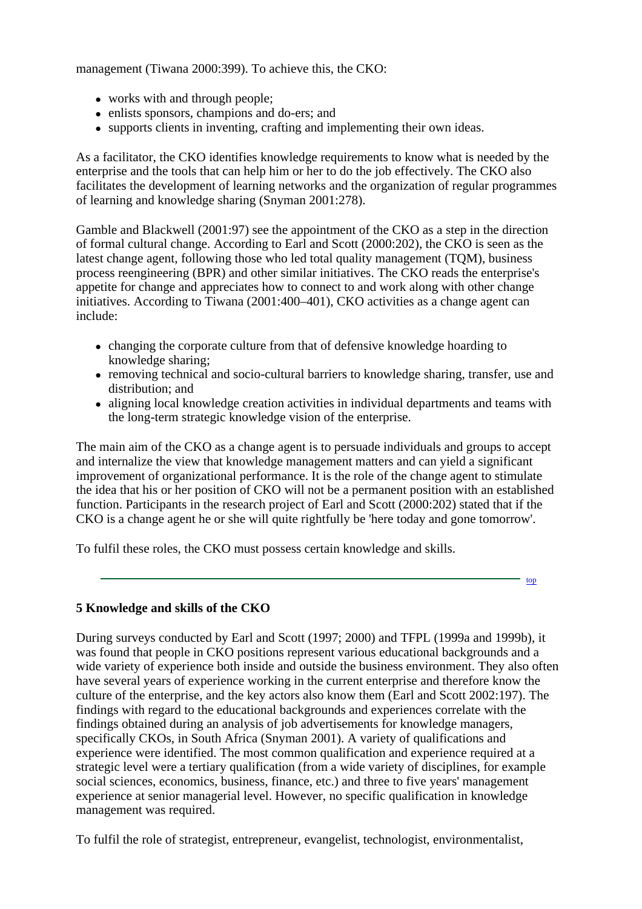management (Tiwana 2000:399). To achieve this, the CKO:

- works with and through people;
- enlists sponsors, champions and do-ers; and
- supports clients in inventing, crafting and implementing their own ideas.

As a facilitator, the CKO identifies knowledge requirements to know what is needed by the enterprise and the tools that can help him or her to do the job effectively. The CKO also facilitates the development of learning networks and the organization of regular programmes of learning and knowledge sharing (Snyman 2001:278).

Gamble and Blackwell (2001:97) see the appointment of the CKO as a step in the direction of formal cultural change. According to Earl and Scott (2000:202), the CKO is seen as the latest change agent, following those who led total quality management (TQM), business process reengineering (BPR) and other similar initiatives. The CKO reads the enterprise's appetite for change and appreciates how to connect to and work along with other change initiatives. According to Tiwana (2001:400–401), CKO activities as a change agent can include:

- changing the corporate culture from that of defensive knowledge hoarding to knowledge sharing;
- removing technical and socio-cultural barriers to knowledge sharing, transfer, use and distribution; and
- aligning local knowledge creation activities in individual departments and teams with the long-term strategic knowledge vision of the enterprise.

The main aim of the CKO as a change agent is to persuade individuals and groups to accept and internalize the view that knowledge management matters and can yield a significant improvement of organizational performance. It is the role of the change agent to stimulate the idea that his or her position of CKO will not be a permanent position with an established function. Participants in the research project of Earl and Scott (2000:202) stated that if the CKO is a change agent he or she will quite rightfully be 'here today and gone tomorrow'.

top

To fulfil these roles, the CKO must possess certain knowledge and skills.

#### **5 Knowledge and skills of the CKO**

During surveys conducted by Earl and Scott (1997; 2000) and TFPL (1999a and 1999b), it was found that people in CKO positions represent various educational backgrounds and a wide variety of experience both inside and outside the business environment. They also often have several years of experience working in the current enterprise and therefore know the culture of the enterprise, and the key actors also know them (Earl and Scott 2002:197). The findings with regard to the educational backgrounds and experiences correlate with the findings obtained during an analysis of job advertisements for knowledge managers, specifically CKOs, in South Africa (Snyman 2001). A variety of qualifications and experience were identified. The most common qualification and experience required at a strategic level were a tertiary qualification (from a wide variety of disciplines, for example social sciences, economics, business, finance, etc.) and three to five years' management experience at senior managerial level. However, no specific qualification in knowledge management was required.

To fulfil the role of strategist, entrepreneur, evangelist, technologist, environmentalist,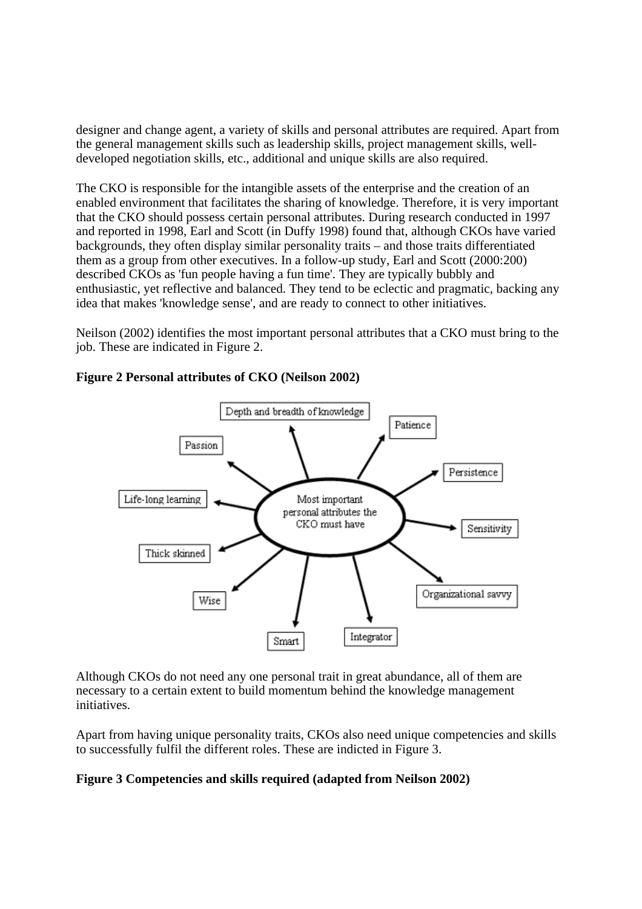designer and change agent, a variety of skills and personal attributes are required. Apart from the general management skills such as leadership skills, project management skills, welldeveloped negotiation skills, etc., additional and unique skills are also required.

The CKO is responsible for the intangible assets of the enterprise and the creation of an enabled environment that facilitates the sharing of knowledge. Therefore, it is very important that the CKO should possess certain personal attributes. During research conducted in 1997 and reported in 1998, Earl and Scott (in Duffy 1998) found that, although CKOs have varied backgrounds, they often display similar personality traits – and those traits differentiated them as a group from other executives. In a follow-up study, Earl and Scott (2000:200) described CKOs as 'fun people having a fun time'. They are typically bubbly and enthusiastic, yet reflective and balanced. They tend to be eclectic and pragmatic, backing any idea that makes 'knowledge sense', and are ready to connect to other initiatives.

Neilson (2002) identifies the most important personal attributes that a CKO must bring to the job. These are indicated in Figure 2.



#### **Figure 2 Personal attributes of CKO (Neilson 2002)**

Although CKOs do not need any one personal trait in great abundance, all of them are necessary to a certain extent to build momentum behind the knowledge management initiatives.

Apart from having unique personality traits, CKOs also need unique competencies and skills to successfully fulfil the different roles. These are indicted in Figure 3.

#### **Figure 3 Competencies and skills required (adapted from Neilson 2002)**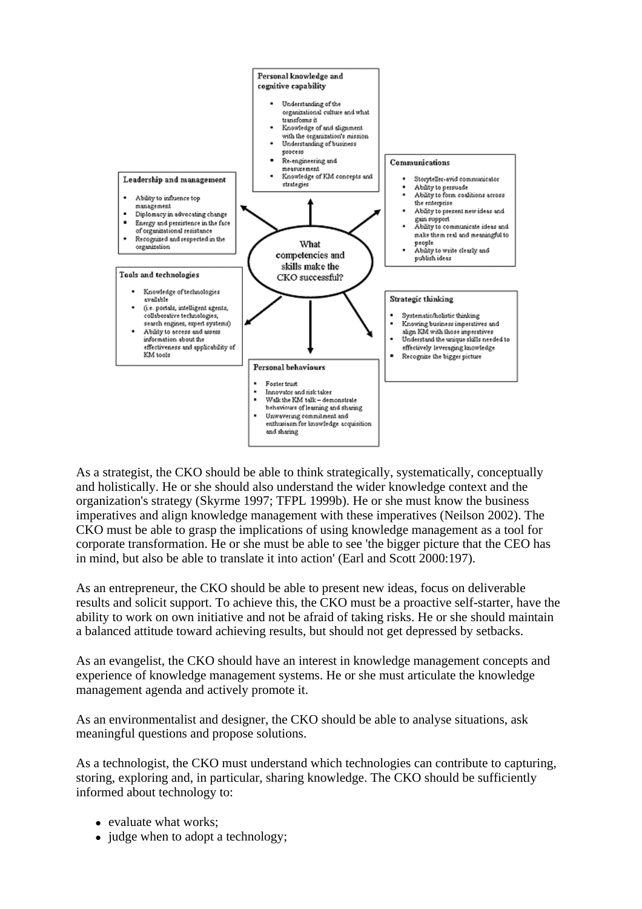

As a strategist, the CKO should be able to think strategically, systematically, conceptually and holistically. He or she should also understand the wider knowledge context and the organization's strategy (Skyrme 1997; TFPL 1999b). He or she must know the business imperatives and align knowledge management with these imperatives (Neilson 2002). The CKO must be able to grasp the implications of using knowledge management as a tool for corporate transformation. He or she must be able to see 'the bigger picture that the CEO has in mind, but also be able to translate it into action' (Earl and Scott 2000:197).

As an entrepreneur, the CKO should be able to present new ideas, focus on deliverable results and solicit support. To achieve this, the CKO must be a proactive self-starter, have the ability to work on own initiative and not be afraid of taking risks. He or she should maintain a balanced attitude toward achieving results, but should not get depressed by setbacks.

As an evangelist, the CKO should have an interest in knowledge management concepts and experience of knowledge management systems. He or she must articulate the knowledge management agenda and actively promote it.

As an environmentalist and designer, the CKO should be able to analyse situations, ask meaningful questions and propose solutions.

As a technologist, the CKO must understand which technologies can contribute to capturing, storing, exploring and, in particular, sharing knowledge. The CKO should be sufficiently informed about technology to:

- evaluate what works:
- judge when to adopt a technology;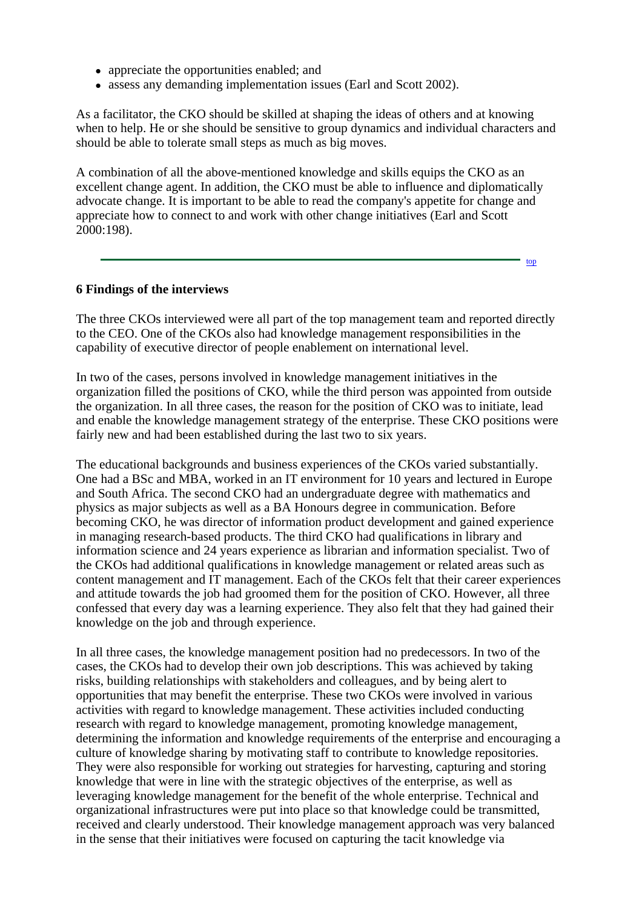- appreciate the opportunities enabled; and
- assess any demanding implementation issues (Earl and Scott 2002).

As a facilitator, the CKO should be skilled at shaping the ideas of others and at knowing when to help. He or she should be sensitive to group dynamics and individual characters and should be able to tolerate small steps as much as big moves.

A combination of all the above-mentioned knowledge and skills equips the CKO as an excellent change agent. In addition, the CKO must be able to influence and diplomatically advocate change. It is important to be able to read the company's appetite for change and appreciate how to connect to and work with other change initiatives (Earl and Scott 2000:198).

#### **6 Findings of the interviews**

The three CKOs interviewed were all part of the top management team and reported directly to the CEO. One of the CKOs also had knowledge management responsibilities in the capability of executive director of people enablement on international level.

top

In two of the cases, persons involved in knowledge management initiatives in the organization filled the positions of CKO, while the third person was appointed from outside the organization. In all three cases, the reason for the position of CKO was to initiate, lead and enable the knowledge management strategy of the enterprise. These CKO positions were fairly new and had been established during the last two to six years.

The educational backgrounds and business experiences of the CKOs varied substantially. One had a BSc and MBA, worked in an IT environment for 10 years and lectured in Europe and South Africa. The second CKO had an undergraduate degree with mathematics and physics as major subjects as well as a BA Honours degree in communication. Before becoming CKO, he was director of information product development and gained experience in managing research-based products. The third CKO had qualifications in library and information science and 24 years experience as librarian and information specialist. Two of the CKOs had additional qualifications in knowledge management or related areas such as content management and IT management. Each of the CKOs felt that their career experiences and attitude towards the job had groomed them for the position of CKO. However, all three confessed that every day was a learning experience. They also felt that they had gained their knowledge on the job and through experience.

In all three cases, the knowledge management position had no predecessors. In two of the cases, the CKOs had to develop their own job descriptions. This was achieved by taking risks, building relationships with stakeholders and colleagues, and by being alert to opportunities that may benefit the enterprise. These two CKOs were involved in various activities with regard to knowledge management. These activities included conducting research with regard to knowledge management, promoting knowledge management, determining the information and knowledge requirements of the enterprise and encouraging a culture of knowledge sharing by motivating staff to contribute to knowledge repositories. They were also responsible for working out strategies for harvesting, capturing and storing knowledge that were in line with the strategic objectives of the enterprise, as well as leveraging knowledge management for the benefit of the whole enterprise. Technical and organizational infrastructures were put into place so that knowledge could be transmitted, received and clearly understood. Their knowledge management approach was very balanced in the sense that their initiatives were focused on capturing the tacit knowledge via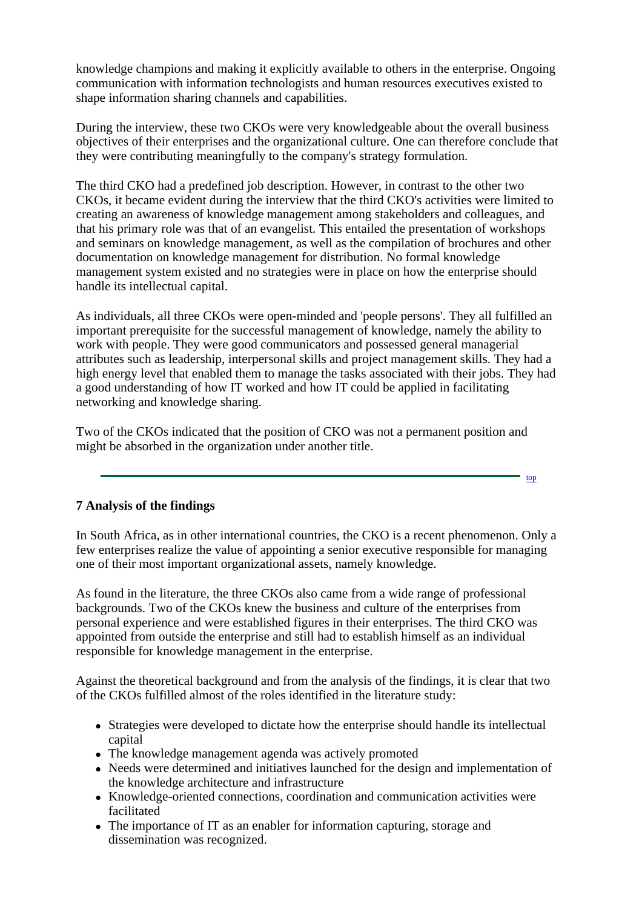knowledge champions and making it explicitly available to others in the enterprise. Ongoing communication with information technologists and human resources executives existed to shape information sharing channels and capabilities.

During the interview, these two CKOs were very knowledgeable about the overall business objectives of their enterprises and the organizational culture. One can therefore conclude that they were contributing meaningfully to the company's strategy formulation.

The third CKO had a predefined job description. However, in contrast to the other two CKOs, it became evident during the interview that the third CKO's activities were limited to creating an awareness of knowledge management among stakeholders and colleagues, and that his primary role was that of an evangelist. This entailed the presentation of workshops and seminars on knowledge management, as well as the compilation of brochures and other documentation on knowledge management for distribution. No formal knowledge management system existed and no strategies were in place on how the enterprise should handle its intellectual capital.

As individuals, all three CKOs were open-minded and 'people persons'. They all fulfilled an important prerequisite for the successful management of knowledge, namely the ability to work with people. They were good communicators and possessed general managerial attributes such as leadership, interpersonal skills and project management skills. They had a high energy level that enabled them to manage the tasks associated with their jobs. They had a good understanding of how IT worked and how IT could be applied in facilitating networking and knowledge sharing.

Two of the CKOs indicated that the position of CKO was not a permanent position and might be absorbed in the organization under another title.

## **7 Analysis of the findings**

In South Africa, as in other international countries, the CKO is a recent phenomenon. Only a few enterprises realize the value of appointing a senior executive responsible for managing one of their most important organizational assets, namely knowledge.

 $\equiv$  top

As found in the literature, the three CKOs also came from a wide range of professional backgrounds. Two of the CKOs knew the business and culture of the enterprises from personal experience and were established figures in their enterprises. The third CKO was appointed from outside the enterprise and still had to establish himself as an individual responsible for knowledge management in the enterprise.

Against the theoretical background and from the analysis of the findings, it is clear that two of the CKOs fulfilled almost of the roles identified in the literature study:

- Strategies were developed to dictate how the enterprise should handle its intellectual capital
- The knowledge management agenda was actively promoted
- Needs were determined and initiatives launched for the design and implementation of the knowledge architecture and infrastructure
- Knowledge-oriented connections, coordination and communication activities were facilitated
- The importance of IT as an enabler for information capturing, storage and dissemination was recognized.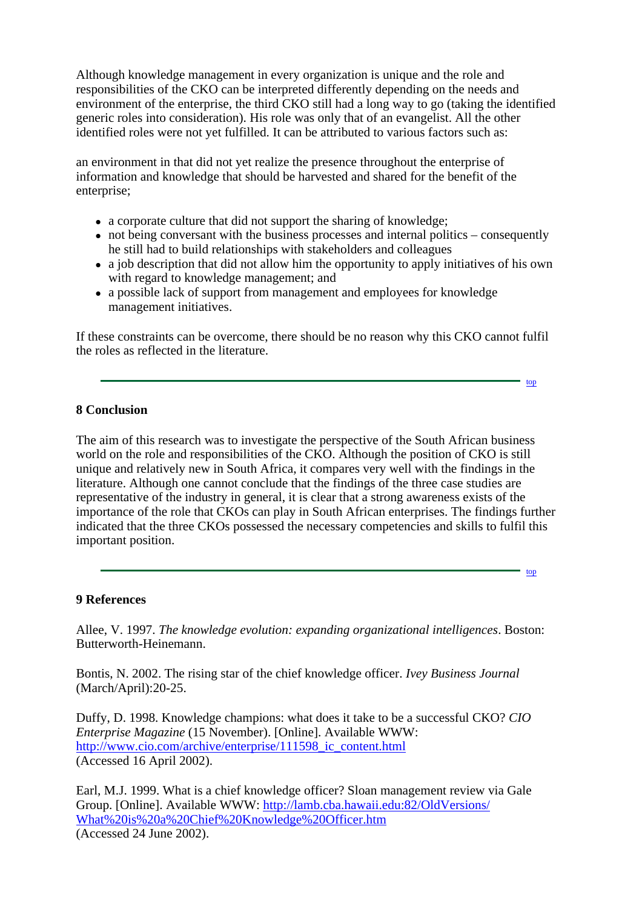Although knowledge management in every organization is unique and the role and responsibilities of the CKO can be interpreted differently depending on the needs and environment of the enterprise, the third CKO still had a long way to go (taking the identified generic roles into consideration). His role was only that of an evangelist. All the other identified roles were not yet fulfilled. It can be attributed to various factors such as:

an environment in that did not yet realize the presence throughout the enterprise of information and knowledge that should be harvested and shared for the benefit of the enterprise;

- a corporate culture that did not support the sharing of knowledge;
- $\bullet$  not being conversant with the business processes and internal politics consequently he still had to build relationships with stakeholders and colleagues
- a job description that did not allow him the opportunity to apply initiatives of his own with regard to knowledge management; and
- a possible lack of support from management and employees for knowledge management initiatives.

If these constraints can be overcome, there should be no reason why this CKO cannot fulfil the roles as reflected in the literature.

 $\overline{\phantom{a}}$  top

top

#### **8 Conclusion**

The aim of this research was to investigate the perspective of the South African business world on the role and responsibilities of the CKO. Although the position of CKO is still unique and relatively new in South Africa, it compares very well with the findings in the literature. Although one cannot conclude that the findings of the three case studies are representative of the industry in general, it is clear that a strong awareness exists of the importance of the role that CKOs can play in South African enterprises. The findings further indicated that the three CKOs possessed the necessary competencies and skills to fulfil this important position.

#### **9 References**

Allee, V. 1997. *The knowledge evolution: expanding organizational intelligences*. Boston: Butterworth-Heinemann.

Bontis, N. 2002. The rising star of the chief knowledge officer. *Ivey Business Journal* (March/April):20-25.

Duffy, D. 1998. Knowledge champions: what does it take to be a successful CKO? *CIO Enterprise Magazine* (15 November). [Online]. Available WWW: http://www.cio.com/archive/enterprise/111598\_ic\_content.html (Accessed 16 April 2002).

Earl, M.J. 1999. What is a chief knowledge officer? Sloan management review via Gale Group. [Online]. Available WWW: http://lamb.cba.hawaii.edu:82/OldVersions/ What%20is%20a%20Chief%20Knowledge%20Officer.htm (Accessed 24 June 2002).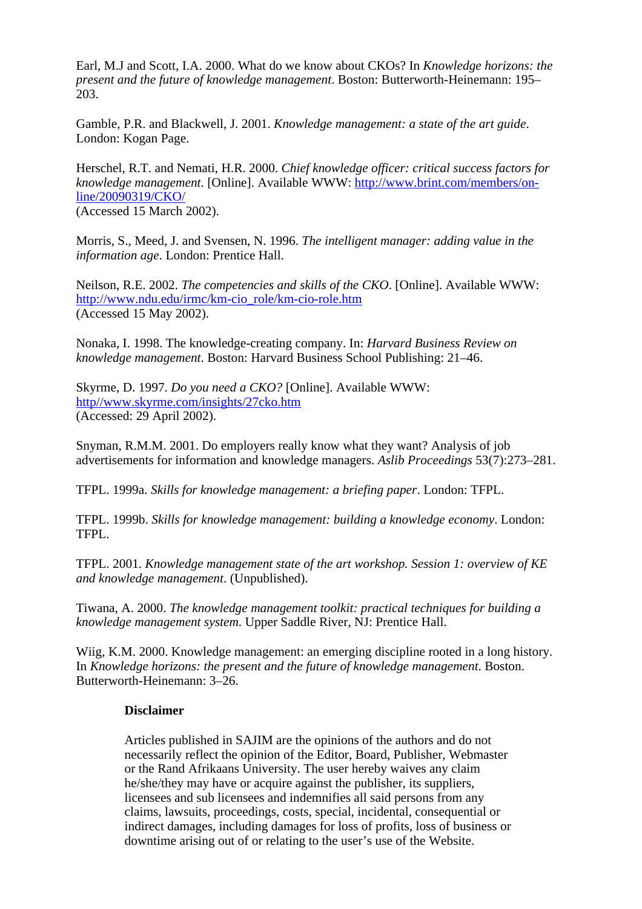Earl, M.J and Scott, I.A. 2000. What do we know about CKOs? In *Knowledge horizons: the present and the future of knowledge management*. Boston: Butterworth-Heinemann: 195– 203.

Gamble, P.R. and Blackwell, J. 2001. *Knowledge management: a state of the art guide*. London: Kogan Page.

Herschel, R.T. and Nemati, H.R. 2000. *Chief knowledge officer: critical success factors for knowledge management*. [Online]. Available WWW: http://www.brint.com/members/online/20090319/CKO/ (Accessed 15 March 2002).

Morris, S., Meed, J. and Svensen, N. 1996. *The intelligent manager: adding value in the information age*. London: Prentice Hall.

Neilson, R.E. 2002. *The competencies and skills of the CKO*. [Online]. Available WWW: http://www.ndu.edu/irmc/km-cio\_role/km-cio-role.htm (Accessed 15 May 2002).

Nonaka, I. 1998. The knowledge-creating company. In: *Harvard Business Review on knowledge management*. Boston: Harvard Business School Publishing: 21–46.

Skyrme, D. 1997. *Do you need a CKO?* [Online]. Available WWW: http//www.skyrme.com/insights/27cko.htm (Accessed: 29 April 2002).

Snyman, R.M.M. 2001. Do employers really know what they want? Analysis of job advertisements for information and knowledge managers. *Aslib Proceedings* 53(7):273–281.

TFPL. 1999a. *Skills for knowledge management: a briefing paper*. London: TFPL.

TFPL. 1999b. *Skills for knowledge management: building a knowledge economy*. London: TFPL.

TFPL. 2001. *Knowledge management state of the art workshop. Session 1: overview of KE and knowledge management*. (Unpublished).

Tiwana, A. 2000. *The knowledge management toolkit: practical techniques for building a knowledge management system*. Upper Saddle River, NJ: Prentice Hall.

Wiig, K.M. 2000. Knowledge management: an emerging discipline rooted in a long history. In *Knowledge horizons: the present and the future of knowledge management*. Boston. Butterworth-Heinemann: 3–26.

#### **Disclaimer**

Articles published in SAJIM are the opinions of the authors and do not necessarily reflect the opinion of the Editor, Board, Publisher, Webmaster or the Rand Afrikaans University. The user hereby waives any claim he/she/they may have or acquire against the publisher, its suppliers, licensees and sub licensees and indemnifies all said persons from any claims, lawsuits, proceedings, costs, special, incidental, consequential or indirect damages, including damages for loss of profits, loss of business or downtime arising out of or relating to the user's use of the Website.